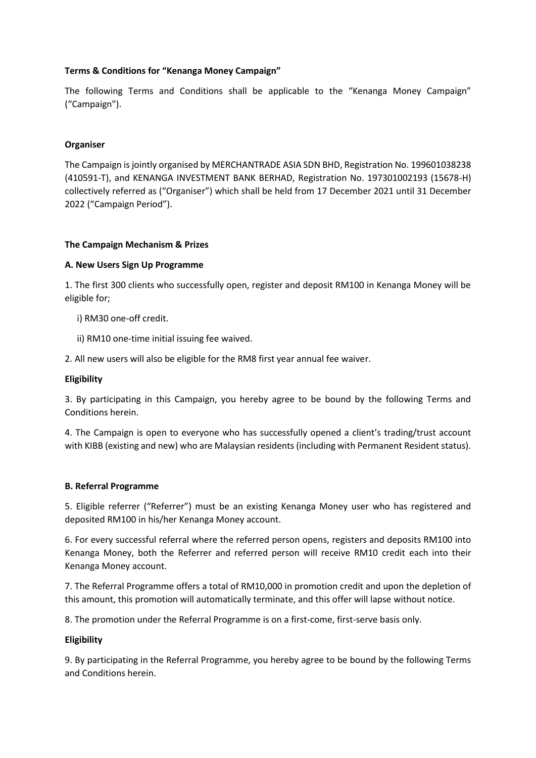# **Terms & Conditions for "Kenanga Money Campaign"**

The following Terms and Conditions shall be applicable to the "Kenanga Money Campaign" ("Campaign").

## **Organiser**

The Campaign is jointly organised by MERCHANTRADE ASIA SDN BHD, Registration No. 199601038238 (410591-T), and KENANGA INVESTMENT BANK BERHAD, Registration No. 197301002193 (15678-H) collectively referred as ("Organiser") which shall be held from 17 December 2021 until 31 December 2022 ("Campaign Period").

### **The Campaign Mechanism & Prizes**

### **A. New Users Sign Up Programme**

1. The first 300 clients who successfully open, register and deposit RM100 in Kenanga Money will be eligible for;

i) RM30 one-off credit.

ii) RM10 one-time initial issuing fee waived.

2. All new users will also be eligible for the RM8 first year annual fee waiver.

### **Eligibility**

3. By participating in this Campaign, you hereby agree to be bound by the following Terms and Conditions herein.

4. The Campaign is open to everyone who has successfully opened a client's trading/trust account with KIBB (existing and new) who are Malaysian residents (including with Permanent Resident status).

### **B. Referral Programme**

5. Eligible referrer ("Referrer") must be an existing Kenanga Money user who has registered and deposited RM100 in his/her Kenanga Money account.

6. For every successful referral where the referred person opens, registers and deposits RM100 into Kenanga Money, both the Referrer and referred person will receive RM10 credit each into their Kenanga Money account.

7. The Referral Programme offers a total of RM10,000 in promotion credit and upon the depletion of this amount, this promotion will automatically terminate, and this offer will lapse without notice.

8. The promotion under the Referral Programme is on a first-come, first-serve basis only.

### **Eligibility**

9. By participating in the Referral Programme, you hereby agree to be bound by the following Terms and Conditions herein.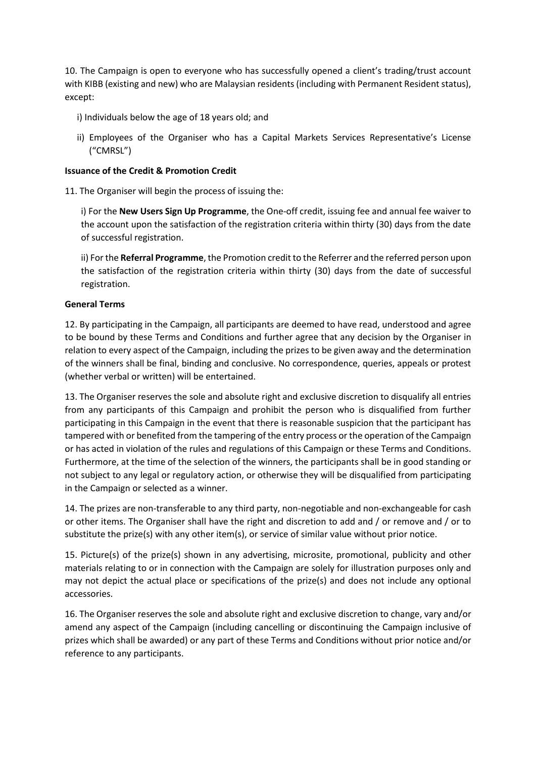10. The Campaign is open to everyone who has successfully opened a client's trading/trust account with KIBB (existing and new) who are Malaysian residents (including with Permanent Resident status), except:

- i) Individuals below the age of 18 years old; and
- ii) Employees of the Organiser who has a Capital Markets Services Representative's License ("CMRSL")

## **Issuance of the Credit & Promotion Credit**

11. The Organiser will begin the process of issuing the:

i) For the **New Users Sign Up Programme**, the One-off credit, issuing fee and annual fee waiver to the account upon the satisfaction of the registration criteria within thirty (30) days from the date of successful registration.

ii) For the **Referral Programme**, the Promotion credit to the Referrer and the referred person upon the satisfaction of the registration criteria within thirty (30) days from the date of successful registration.

# **General Terms**

12. By participating in the Campaign, all participants are deemed to have read, understood and agree to be bound by these Terms and Conditions and further agree that any decision by the Organiser in relation to every aspect of the Campaign, including the prizes to be given away and the determination of the winners shall be final, binding and conclusive. No correspondence, queries, appeals or protest (whether verbal or written) will be entertained.

13. The Organiser reserves the sole and absolute right and exclusive discretion to disqualify all entries from any participants of this Campaign and prohibit the person who is disqualified from further participating in this Campaign in the event that there is reasonable suspicion that the participant has tampered with or benefited from the tampering of the entry process or the operation of the Campaign or has acted in violation of the rules and regulations of this Campaign or these Terms and Conditions. Furthermore, at the time of the selection of the winners, the participants shall be in good standing or not subject to any legal or regulatory action, or otherwise they will be disqualified from participating in the Campaign or selected as a winner.

14. The prizes are non-transferable to any third party, non-negotiable and non-exchangeable for cash or other items. The Organiser shall have the right and discretion to add and / or remove and / or to substitute the prize(s) with any other item(s), or service of similar value without prior notice.

15. Picture(s) of the prize(s) shown in any advertising, microsite, promotional, publicity and other materials relating to or in connection with the Campaign are solely for illustration purposes only and may not depict the actual place or specifications of the prize(s) and does not include any optional accessories.

16. The Organiser reserves the sole and absolute right and exclusive discretion to change, vary and/or amend any aspect of the Campaign (including cancelling or discontinuing the Campaign inclusive of prizes which shall be awarded) or any part of these Terms and Conditions without prior notice and/or reference to any participants.